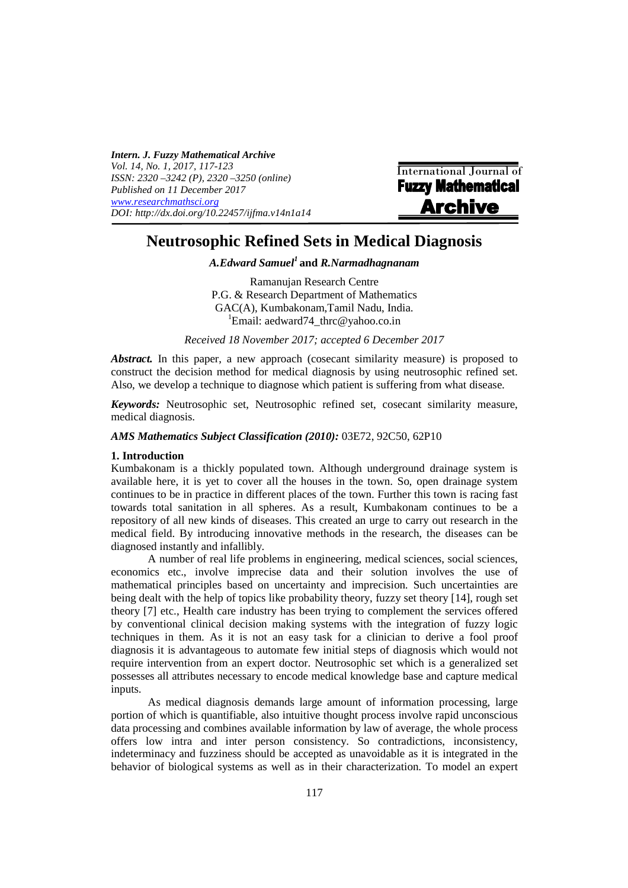*Intern. J. Fuzzy Mathematical Archive Vol. 14, No. 1, 2017, 117-123 ISSN: 2320 –3242 (P), 2320 –3250 (online) Published on 11 December 2017 www.researchmathsci.org DOI: http://dx.doi.org/10.22457/ijfma.v14n1a14* 

**International Journal of**<br>**Fuzzy Mathematical Archive** 

# **Neutrosophic Refined Sets in Medical Diagnosis**

*A.Edward Samuel<sup>1</sup>***and** *R.Narmadhagnanam* 

Ramanujan Research Centre P.G. & Research Department of Mathematics GAC(A), Kumbakonam,Tamil Nadu, India. <sup>1</sup>Email: aedward74 thrc@yahoo.co.in

*Received 18 November 2017; accepted 6 December 2017*

*Abstract.* In this paper, a new approach (cosecant similarity measure) is proposed to construct the decision method for medical diagnosis by using neutrosophic refined set. Also, we develop a technique to diagnose which patient is suffering from what disease.

*Keywords:* Neutrosophic set, Neutrosophic refined set, cosecant similarity measure, medical diagnosis.

*AMS Mathematics Subject Classification (2010):* 03E72, 92C50, 62P10

# **1. Introduction**

Kumbakonam is a thickly populated town. Although underground drainage system is available here, it is yet to cover all the houses in the town. So, open drainage system continues to be in practice in different places of the town. Further this town is racing fast towards total sanitation in all spheres. As a result, Kumbakonam continues to be a repository of all new kinds of diseases. This created an urge to carry out research in the medical field. By introducing innovative methods in the research, the diseases can be diagnosed instantly and infallibly.

A number of real life problems in engineering, medical sciences, social sciences, economics etc., involve imprecise data and their solution involves the use of mathematical principles based on uncertainty and imprecision. Such uncertainties are being dealt with the help of topics like probability theory, fuzzy set theory [14], rough set theory [7] etc., Health care industry has been trying to complement the services offered by conventional clinical decision making systems with the integration of fuzzy logic techniques in them. As it is not an easy task for a clinician to derive a fool proof diagnosis it is advantageous to automate few initial steps of diagnosis which would not require intervention from an expert doctor. Neutrosophic set which is a generalized set possesses all attributes necessary to encode medical knowledge base and capture medical inputs.

As medical diagnosis demands large amount of information processing, large portion of which is quantifiable, also intuitive thought process involve rapid unconscious data processing and combines available information by law of average, the whole process offers low intra and inter person consistency. So contradictions, inconsistency, indeterminacy and fuzziness should be accepted as unavoidable as it is integrated in the behavior of biological systems as well as in their characterization. To model an expert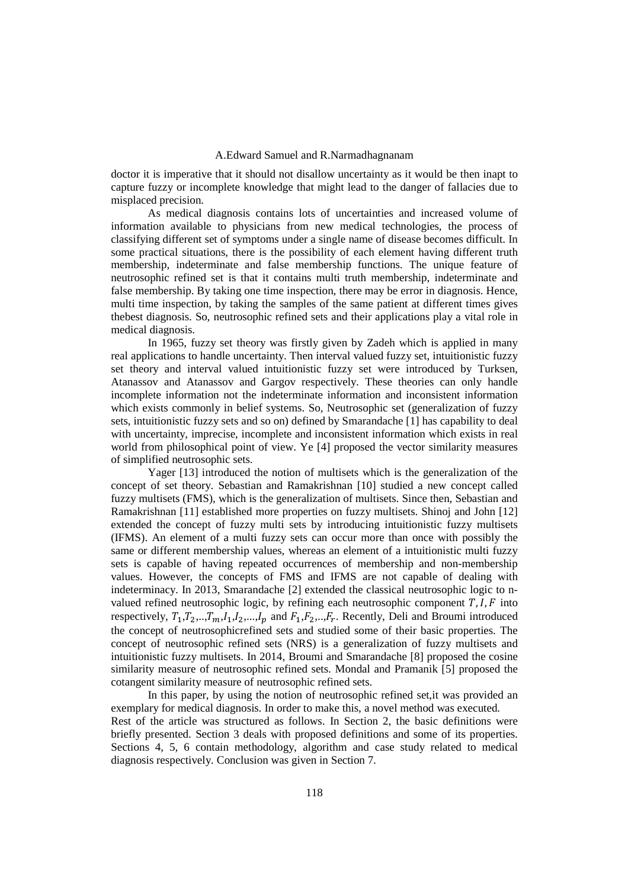## A.Edward Samuel and R.Narmadhagnanam

doctor it is imperative that it should not disallow uncertainty as it would be then inapt to capture fuzzy or incomplete knowledge that might lead to the danger of fallacies due to misplaced precision.

As medical diagnosis contains lots of uncertainties and increased volume of information available to physicians from new medical technologies, the process of classifying different set of symptoms under a single name of disease becomes difficult. In some practical situations, there is the possibility of each element having different truth membership, indeterminate and false membership functions. The unique feature of neutrosophic refined set is that it contains multi truth membership, indeterminate and false membership. By taking one time inspection, there may be error in diagnosis. Hence, multi time inspection, by taking the samples of the same patient at different times gives thebest diagnosis. So, neutrosophic refined sets and their applications play a vital role in medical diagnosis.

In 1965, fuzzy set theory was firstly given by Zadeh which is applied in many real applications to handle uncertainty. Then interval valued fuzzy set, intuitionistic fuzzy set theory and interval valued intuitionistic fuzzy set were introduced by Turksen, Atanassov and Atanassov and Gargov respectively. These theories can only handle incomplete information not the indeterminate information and inconsistent information which exists commonly in belief systems. So, Neutrosophic set (generalization of fuzzy sets, intuitionistic fuzzy sets and so on) defined by Smarandache [1] has capability to deal with uncertainty, imprecise, incomplete and inconsistent information which exists in real world from philosophical point of view. Ye [4] proposed the vector similarity measures of simplified neutrosophic sets.

Yager [13] introduced the notion of multisets which is the generalization of the concept of set theory. Sebastian and Ramakrishnan [10] studied a new concept called fuzzy multisets (FMS), which is the generalization of multisets. Since then, Sebastian and Ramakrishnan [11] established more properties on fuzzy multisets. Shinoj and John [12] extended the concept of fuzzy multi sets by introducing intuitionistic fuzzy multisets (IFMS). An element of a multi fuzzy sets can occur more than once with possibly the same or different membership values, whereas an element of a intuitionistic multi fuzzy sets is capable of having repeated occurrences of membership and non-membership values. However, the concepts of FMS and IFMS are not capable of dealing with indeterminacy. In 2013, Smarandache [2] extended the classical neutrosophic logic to nvalued refined neutrosophic logic, by refining each neutrosophic component  $T, I, F$  into respectively,  $T_1, T_2, ..., T_m, I_1, I_2, ..., I_p$  and  $F_1, F_2, ..., F_r$ . Recently, Deli and Broumi introduced the concept of neutrosophicrefined sets and studied some of their basic properties. The concept of neutrosophic refined sets (NRS) is a generalization of fuzzy multisets and intuitionistic fuzzy multisets. In 2014, Broumi and Smarandache [8] proposed the cosine similarity measure of neutrosophic refined sets. Mondal and Pramanik [5] proposed the cotangent similarity measure of neutrosophic refined sets.

In this paper, by using the notion of neutrosophic refined set,it was provided an exemplary for medical diagnosis. In order to make this, a novel method was executed. Rest of the article was structured as follows. In Section 2, the basic definitions were briefly presented. Section 3 deals with proposed definitions and some of its properties. Sections 4, 5, 6 contain methodology, algorithm and case study related to medical diagnosis respectively. Conclusion was given in Section 7.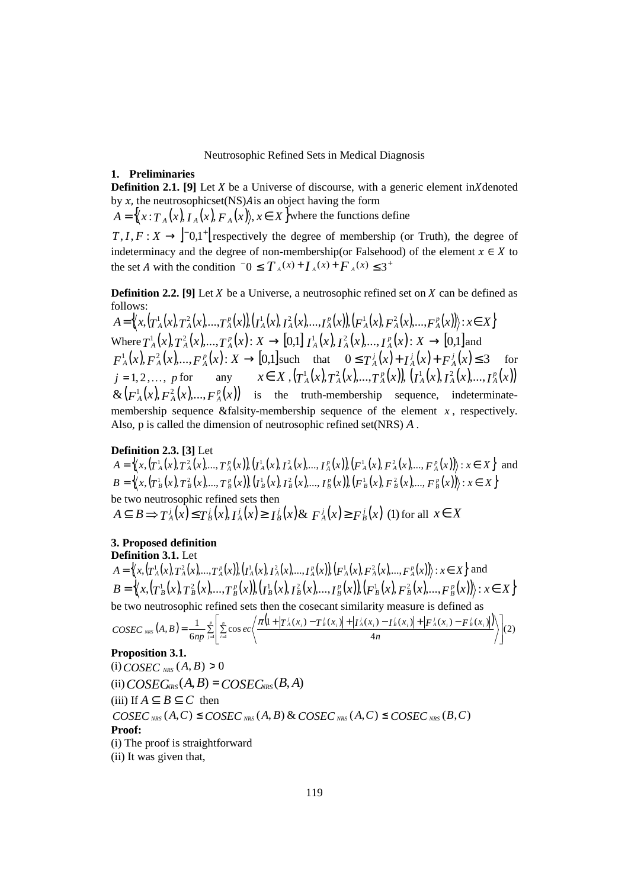#### Neutrosophic Refined Sets in Medical Diagnosis

## **1. Preliminaries**

**Definition 2.1.** [9] Let  $X$  be a Universe of discourse, with a generic element in  $X$  denoted by  $x$ , the neutrosophicset(NS) $A$  is an object having the form

 $A = \{ (x : T_A(x), T_A(x), F_A(x), x \in X \}$  where the functions define  $T, I, F: X \rightarrow \begin{bmatrix} 0, 1 \\ 0, 1 \end{bmatrix}$  respectively the degree of membership (or Truth), the degree of

indeterminacy and the degree of non-membership(or Falsehood) of the element  $x \in X$  to the set *A* with the condition  $-0 \le T_A(x) + T_A(x) + F_A(x) \le 3^+$ 

**Definition 2.2.** [9] Let  $X$  be a Universe, a neutrosophic refined set on  $X$  can be defined as follows:

 $A = \langle\!\langle x, (T^1_A(x), T^2_A(x), ..., T^p_A(x)), (T^1_A(x), T^2_A(x), ..., T^p_A(x)), (F^1_A(x), F^2_A(x), ..., F^p_A(x))\rangle\!\rangle : x \in X\big\}$ Where  $T^1_A(x), T^2_A(x),...,T^p_A(x): X \to [0,1]$   $I^1_A(x), I^2_A(x),...,I^p_A(x): X \to [0,1]$  and  $F_A^1(x), F_A^2(x),..., F_A^p(x): X \to [0,1]$ such that  $0 \le T_A^j(x) + T_A^j(x) + F_A^j(x) \le 3$  for  $j = 1, 2, ..., p$  for any  $x \in X$ ,  $(T_A^1(x), T_A^2(x), ..., T_A^p(x))$ ,  $(T_A^1(x), T_A^2(x), ..., T_A^p(x))$  $\&\left(F_A^1(x), F_A^2(x),..., F_A^p(x)\right)$  is the truth-membership sequence, indeterminatemembership sequence &falsity-membership sequence of the element  $x$ , respectively. Also, p is called the dimension of neutrosophic refined set(NRS) *A* .

# **Definition 2.3. [3]** Let

 $A = \langle x, (T_A^1(x), T_A^2(x), ..., T_A^n(x)), (T_A^1(x), T_A^2(x), ..., T_A^n(x)), (F_A^1(x), F_A^2(x), ..., F_A^n(x)) \rangle : x \in X \rangle$  and  $B = \langle (x, (T_B^1(x), T_B^2(x), ..., T_B^p(x)), (T_B^1(x), T_B^2(x), ..., T_B^p(x)), (F_B^1(x), F_B^2(x), ..., F_B^p(x)) \rangle : x \in X \rangle$ be two neutrosophic refined sets then  $A \subseteq B \Rightarrow T_A^j(x) \le T_B^j(x), I_A^j(x) \ge I_B^j(x) \& F_A^j(x) \ge F_B^j(x)$  (1) for all  $x \in X$ 

# **3. Proposed definition**

**Definition 3.1.** Let  $A = \langle x, (T_A^1(x), T_A^2(x), ..., T_A^p(x)), (T_A^1(x), T_A^2(x), ..., T_A^p(x)), (F_A^1(x), F_A^2(x), ..., F_A^p(x)) \rangle : x \in X \rangle$  and  $B=\left\langle\!\left\langle x,\left(T^1_{\ B}(x),T^2_{\ B}(x),...,T^p_{\ B}(x)\right)\!\right\rangle\!\left(T^1_{\ B}(x),T^2_{\ B}(x),...,T^p_{\ B}(x)\right)\!\right\rangle\!\left\langle F^1_{\ B}(x),F^2_{\ B}(x),...,F^p_{\ B}(x)\right\rangle\!\right\rangle\!:\,x\!\in X\!\left\}$ be two neutrosophic refined sets then the cosecant similarity measure is defined as **Proposition 3.1.**  $(i) \text{COSEC}_{NRS}(A, B) > 0$  $(i) \text{COSEC}_{NRS}(A, B) = \text{COSEC}_{NRS}(B, A)$ (iii) If  $A \subset B \subset C$  then **Proof:**  (i) The proof is straightforward (ii) It was given that,  $A(B) = \frac{1}{6np} \sum_{i=1}^{p} \left| \sum_{i=1}^{n} \cos ec \left( \frac{\pi (1 + |T_A^j(x_i) - T_B^j(x_i)| + |T_A^j(x_i) - T_B^j(x_i)| + |F_A^j(x_i) - F_B^j(x_i)|)}{4n} \right) \right|$  $\frac{1}{(6np)^{\sum_{j=1}^n} \left|\sum\limits_{i=1}^n \cos ec\left(\frac{\pi[1+|T^j_A(x_i)-T^j_B(x_i)|+|I^j_A(x_i)-I^j_B(x_i)|+|F^j_A(x_i)-F^j_B(x_i)|}{4n}\right)\right|$  $(a, B) = \frac{1}{6np} \sum_{j=1}^{p} \left| \sum_{i=1}^{n} \right|$ I  $\overline{\phantom{a}}$ J 1  $\mathsf{I}$  $\mathbf{r}$ L Г  $= \frac{1}{6np} \sum_{i=1}^p \left| \sum_{i=1}^n \cos ec \left( \frac{\pi (1 + |T^j_{A}(x_i) - T^j_{B}(x_i)| + |I^j_{A}(x_i) - I^j_{B}(x_i)| + |F^j_{A}(x_i) - I^j_{B}(x_i)|)}{4n} \right) \right|$ *p j n i*  $\frac{1}{\sinh(A,B)} = \frac{1}{6np} \sum_{j=1}^{p} \left| \sum_{i=1}^{n} \cos ec \left( \frac{\pi [1 + |T_A^j(x_i) - T_B^j(x_i)| + |I_A^j(x_i) - I_B^j(x_i)| + |F_A^j(x_i) - F_B^j(x_i)|}{4n} \right) \right|$  $\text{COSEC}_{NRS}(A, B) = \frac{1}{6np} \sum_{j=1}^{p} \left| \sum_{i=1}^{n} \cos ec \left( \frac{\pi [1 + |T_A^j(x_i) - T_B^j(x_i)| + |I_A^j(x_i) - I_B^j(x_i)| + |F_A^j(x_i) - F_B^j(x_i)|}{4n} \right) \right|$  $COSEC_{NRS}(A, C) \leq COSEC_{NRS}(A, B)$  &  $COSEC_{NRS}(A, C) \leq COSEC_{NRS}(B, C)$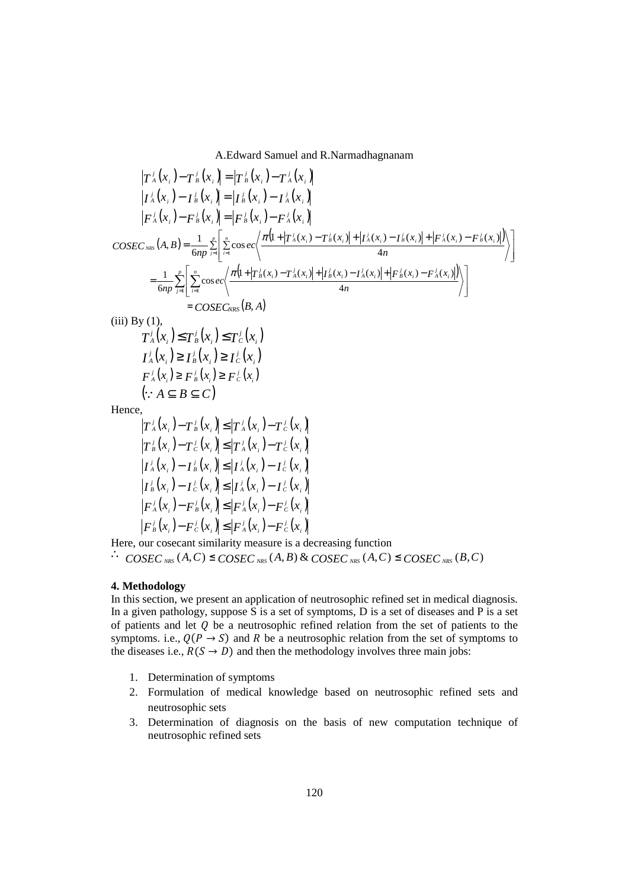A.Edward Samuel and R.Narmadhagnanam

$$
|T_{A}^{j}(x_{i}) - T_{B}^{j}(x_{i})| = |T_{B}^{j}(x_{i}) - T_{A}^{j}(x_{i})|
$$
\n
$$
|I_{A}^{j}(x_{i}) - I_{B}^{j}(x_{i})| = |I_{B}^{j}(x_{i}) - I_{A}^{j}(x_{i})|
$$
\n
$$
|F_{A}^{j}(x_{i}) - F_{B}^{j}(x_{i})| = |F_{B}^{j}(x_{i}) - F_{A}^{j}(x_{i})|
$$
\n
$$
COSE_{NBS}(A,B) = \frac{1}{6np} \sum_{i=1}^{p} \left[ \sum_{i=1}^{p} \cos ec\left(\frac{\pi(1+|T_{A}^{j}(x_{i}) - T_{B}^{j}(x_{i})| + |T_{A}^{j}(x_{i}) - T_{B}^{j}(x_{i})| + |F_{A}^{j}(x_{i}) - F_{B}^{j}(x_{i})|}{4n}\right)\right]
$$
\n
$$
= \frac{1}{6np} \sum_{j=1}^{p} \left[ \sum_{i=1}^{n} \cos ec\left(\frac{\pi(1+|T_{B}^{j}(x_{i}) - T_{A}^{j}(x_{i})| + |T_{B}^{j}(x_{i}) - T_{A}^{j}(x_{i})| + |F_{B}^{j}(x_{i}) - F_{A}^{j}(x_{i})|}{4n}\right)\right]
$$
\n
$$
= COSE_{NBS}(B,A)
$$
\n(iii) By (1),  
\n
$$
T_{A}^{j}(x_{i}) \leq T_{B}^{j}(x_{i}) \leq T_{C}^{j}(x_{i})
$$
\n
$$
T_{A}^{j}(x_{i}) \geq F_{B}^{j}(x_{i}) \geq F_{C}^{j}(x_{i})
$$
\n
$$
F_{A}^{j}(x_{i}) \geq F_{B}^{j}(x_{i}) \geq F_{C}^{j}(x_{i})
$$
\n
$$
= CSE_{NBS}(B,A)
$$
\n(j.  $A \subseteq B \subseteq C$ )  
\nHence,  
\n
$$
|T_{A}^{j}(x_{i}) - T_{B}^{j}(x_{i})| \leq |T_{A}^{j}(x_{i}) - T_{C}^{j}(x_{i})|
$$
\n
$$
|T_{B}^{j}(
$$

$$
\left|F_{A}^{j}(x_{i})-F_{B}^{j}(x_{i})\right| \leq \left|F_{A}^{j}(x_{i})-F_{C}^{j}(x_{i})\right|
$$

$$
\left|F_{B}^{j}(x_{i})-F_{C}^{j}(x_{i})\right| \leq \left|F_{A}^{j}(x_{i})-F_{C}^{j}(x_{i})\right|
$$

Here, our cosecant similarity measure is a decreasing function

∴ *COSEC*  $_{NRS}$  (*A*,*C*) ≤ *COSEC*  $_{NRS}$  (*A*, *B*) & *COSEC*  $_{NRS}$  (*A*,*C*) ≤ *COSEC*  $_{NRS}$  (*B*,*C*)

# **4. Methodology**

In this section, we present an application of neutrosophic refined set in medical diagnosis. In a given pathology, suppose  $\overline{S}$  is a set of symptoms,  $D$  is a set of diseases and P is a set of patients and let  $Q$  be a neutrosophic refined relation from the set of patients to the symptoms. i.e.,  $Q(P \rightarrow S)$  and R be a neutrosophic relation from the set of symptoms to the diseases i.e.,  $R(S \rightarrow D)$  and then the methodology involves three main jobs:

- 1. Determination of symptoms
- 2. Formulation of medical knowledge based on neutrosophic refined sets and neutrosophic sets
- 3. Determination of diagnosis on the basis of new computation technique of neutrosophic refined sets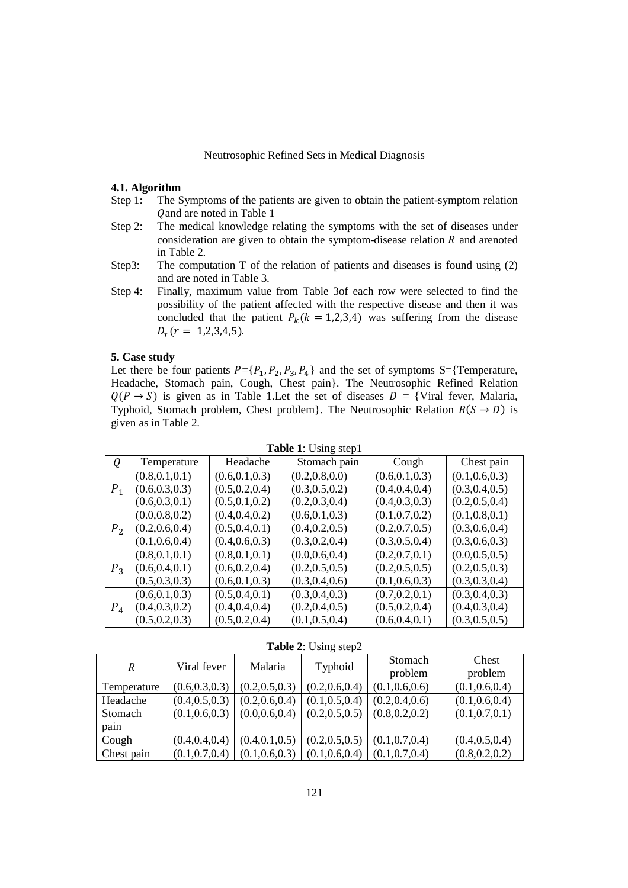# Neutrosophic Refined Sets in Medical Diagnosis

### **4.1. Algorithm**

- Step 1: The Symptoms of the patients are given to obtain the patient-symptom relation Q and are noted in Table 1
- Step 2: The medical knowledge relating the symptoms with the set of diseases under consideration are given to obtain the symptom-disease relation  $R$  and arenoted in Table 2.
- Step3: The computation T of the relation of patients and diseases is found using (2) and are noted in Table 3.
- Step 4: Finally, maximum value from Table 3of each row were selected to find the possibility of the patient affected with the respective disease and then it was concluded that the patient  $P_k(k = 1,2,3,4)$  was suffering from the disease  $D_r(r = 1,2,3,4,5).$

## **5. Case study**

Let there be four patients  $P = \{P_1, P_2, P_3, P_4\}$  and the set of symptoms S={Temperature, Headache, Stomach pain, Cough, Chest pain}. The Neutrosophic Refined Relation  $Q(P \rightarrow S)$  is given as in Table 1. Let the set of diseases  $D = \{V\}$  fever, Malaria, Typhoid, Stomach problem, Chest problem}. The Neutrosophic Relation  $R(S \rightarrow D)$  is given as in Table 2.

| 0              | Temperature     | Headache        | Stomach pain    | Cough           | Chest pain      |
|----------------|-----------------|-----------------|-----------------|-----------------|-----------------|
|                | (0.8, 0.1, 0.1) | (0.6, 0.1, 0.3) | (0.2, 0.8, 0.0) | (0.6, 0.1, 0.3) | (0.1, 0.6, 0.3) |
| $P_{1}$        | (0.6, 0.3, 0.3) | (0.5, 0.2, 0.4) | (0.3, 0.5, 0.2) | (0.4, 0.4, 0.4) | (0.3, 0.4, 0.5) |
|                | (0.6, 0.3, 0.1) | (0.5, 0.1, 0.2) | (0.2, 0.3, 0.4) | (0.4, 0.3, 0.3) | (0.2, 0.5, 0.4) |
|                | (0.0, 0.8, 0.2) | (0.4, 0.4, 0.2) | (0.6, 0.1, 0.3) | (0.1, 0.7, 0.2) | (0.1, 0.8, 0.1) |
| P <sub>2</sub> | (0.2, 0.6, 0.4) | (0.5, 0.4, 0.1) | (0.4, 0.2, 0.5) | (0.2, 0.7, 0.5) | (0.3, 0.6, 0.4) |
|                | (0.1, 0.6, 0.4) | (0.4, 0.6, 0.3) | (0.3, 0.2, 0.4) | (0.3, 0.5, 0.4) | (0.3, 0.6, 0.3) |
| $P_3$          | (0.8, 0.1, 0.1) | (0.8, 0.1, 0.1) | (0.0, 0.6, 0.4) | (0.2, 0.7, 0.1) | (0.0, 0.5, 0.5) |
|                | (0.6, 0.4, 0.1) | (0.6, 0.2, 0.4) | (0.2, 0.5, 0.5) | (0.2, 0.5, 0.5) | (0.2, 0.5, 0.3) |
|                | (0.5, 0.3, 0.3) | (0.6, 0.1, 0.3) | (0.3, 0.4, 0.6) | (0.1, 0.6, 0.3) | (0.3, 0.3, 0.4) |
| $P_{4}$        | (0.6, 0.1, 0.3) | (0.5, 0.4, 0.1) | (0.3, 0.4, 0.3) | (0.7, 0.2, 0.1) | (0.3, 0.4, 0.3) |
|                | (0.4, 0.3, 0.2) | (0.4, 0.4, 0.4) | (0.2, 0.4, 0.5) | (0.5, 0.2, 0.4) | (0.4, 0.3, 0.4) |
|                | (0.5, 0.2, 0.3) | (0.5, 0.2, 0.4) | (0.1, 0.5, 0.4) | (0.6, 0.4, 0.1) | (0.3, 0.5, 0.5) |

**Table 1**: Using step1

**Table 2**: Using step2

|             | Viral fever     | Malaria         | Typhoid         | Stomach         | Chest           |
|-------------|-----------------|-----------------|-----------------|-----------------|-----------------|
| R           |                 |                 |                 | problem         | problem         |
| Temperature | (0.6, 0.3, 0.3) | (0.2, 0.5, 0.3) | (0.2, 0.6, 0.4) | (0.1, 0.6, 0.6) | (0.1, 0.6, 0.4) |
| Headache    | (0.4, 0.5, 0.3) | (0.2, 0.6, 0.4) | (0.1, 0.5, 0.4) | (0.2, 0.4, 0.6) | (0.1, 0.6, 0.4) |
| Stomach     | (0.1, 0.6, 0.3) | (0.0, 0.6, 0.4) | (0.2, 0.5, 0.5) | (0.8, 0.2, 0.2) | (0.1, 0.7, 0.1) |
| pain        |                 |                 |                 |                 |                 |
| Cough       | (0.4, 0.4, 0.4) | (0.4, 0.1, 0.5) | (0.2, 0.5, 0.5) | (0.1, 0.7, 0.4) | (0.4, 0.5, 0.4) |
| Chest pain  | (0.1, 0.7, 0.4) | (0.1, 0.6, 0.3) | (0.1, 0.6, 0.4) | (0.1, 0.7, 0.4) | (0.8, 0.2, 0.2) |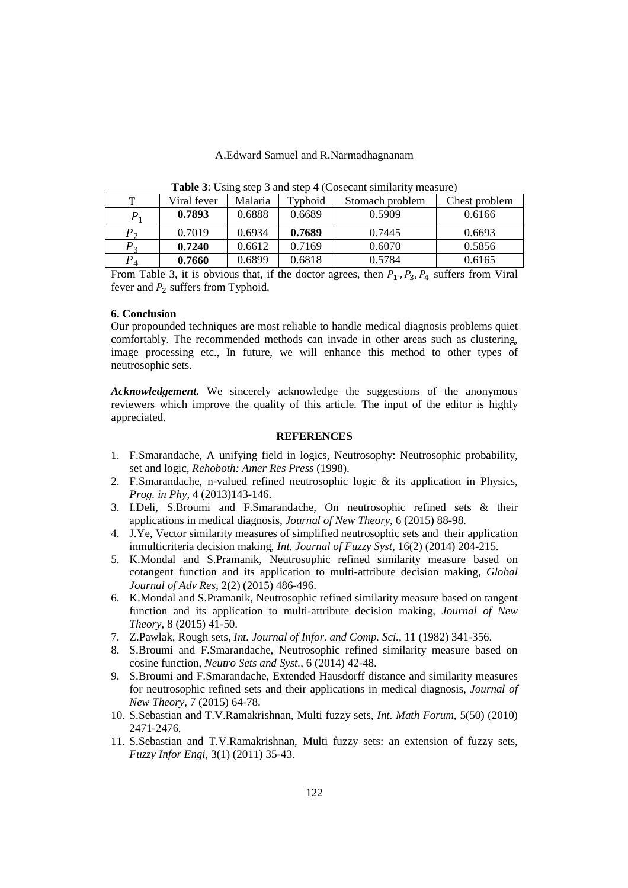### A.Edward Samuel and R.Narmadhagnanam

| $\frac{1}{2}$ |             |         |         |                 |               |  |  |  |  |
|---------------|-------------|---------|---------|-----------------|---------------|--|--|--|--|
| T             | Viral fever | Malaria | Typhoid | Stomach problem | Chest problem |  |  |  |  |
|               | 0.7893      | 0.6888  | 0.6689  | 0.5909          | 0.6166        |  |  |  |  |
| $P_{\alpha}$  | 0.7019      | 0.6934  | 0.7689  | 0.7445          | 0.6693        |  |  |  |  |
| $P_{\alpha}$  | 0.7240      | 0.6612  | 0.7169  | 0.6070          | 0.5856        |  |  |  |  |
| P             | 0.7660      | 0.6899  | 0.6818  | 0.5784          | 0.6165        |  |  |  |  |

**Table 3:** Using step 3 and step 4 (Cosecant similarity measure)

From Table 3, it is obvious that, if the doctor agrees, then  $P_1$ ,  $P_3$ ,  $P_4$  suffers from Viral fever and  $P_2$  suffers from Typhoid.

#### **6. Conclusion**

Our propounded techniques are most reliable to handle medical diagnosis problems quiet comfortably. The recommended methods can invade in other areas such as clustering, image processing etc., In future, we will enhance this method to other types of neutrosophic sets.

*Acknowledgement.* We sincerely acknowledge the suggestions of the anonymous reviewers which improve the quality of this article. The input of the editor is highly appreciated.

# **REFERENCES**

- 1. F.Smarandache, A unifying field in logics, Neutrosophy: Neutrosophic probability, set and logic, *Rehoboth: Amer Res Press* (1998).
- 2. F.Smarandache, n-valued refined neutrosophic logic & its application in Physics, *Prog. in Phy*, 4 (2013)143-146.
- 3. I.Deli, S.Broumi and F.Smarandache, On neutrosophic refined sets & their applications in medical diagnosis, *Journal of New Theory*, 6 (2015) 88-98.
- 4. J.Ye, Vector similarity measures of simplified neutrosophic sets and their application inmulticriteria decision making, *Int. Journal of Fuzzy Syst*, 16(2) (2014) 204-215.
- 5. K.Mondal and S.Pramanik, Neutrosophic refined similarity measure based on cotangent function and its application to multi-attribute decision making, *Global Journal of Adv Res*, 2(2) (2015) 486-496.
- 6. K.Mondal and S.Pramanik, Neutrosophic refined similarity measure based on tangent function and its application to multi-attribute decision making, *Journal of New Theory*, 8 (2015) 41-50.
- 7. Z.Pawlak, Rough sets, *Int. Journal of Infor. and Comp. Sci.,* 11 (1982) 341-356.
- 8. S.Broumi and F.Smarandache, Neutrosophic refined similarity measure based on cosine function, *Neutro Sets and Syst.*, 6 (2014) 42-48.
- 9. S.Broumi and F.Smarandache, Extended Hausdorff distance and similarity measures for neutrosophic refined sets and their applications in medical diagnosis, *Journal of New Theory*, 7 (2015) 64-78.
- 10. S.Sebastian and T.V.Ramakrishnan, Multi fuzzy sets, *Int. Math Forum*, 5(50) (2010) 2471-2476.
- 11. S.Sebastian and T.V.Ramakrishnan, Multi fuzzy sets: an extension of fuzzy sets, *Fuzzy Infor Engi*, 3(1) (2011) 35-43.